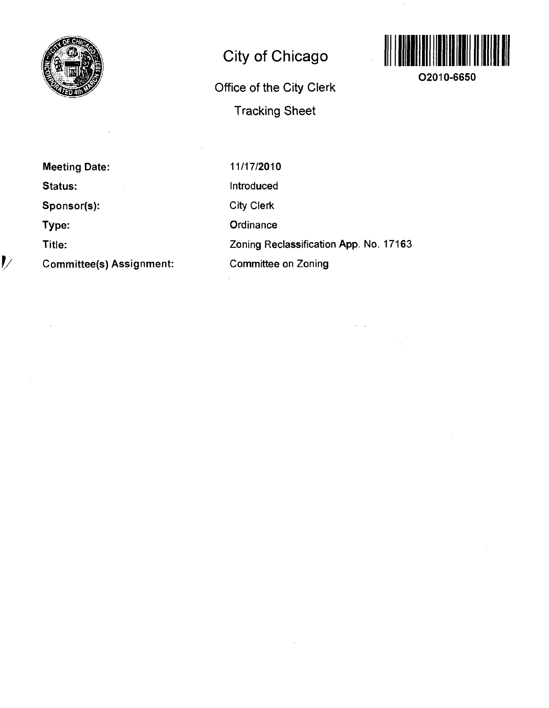

# **City of Chicago**

**Office of the City Clerk Tracking Sheet** 



**O2010-6650** 

**Meeting Date: Status: Sponsor(s): Type: Title: Committee(s) Assignment:** 

*1/* 

11/17/2010 Introduced City Clerk **Ordinance** Zoning Reclassification App. No. 17163 Committee on Zoning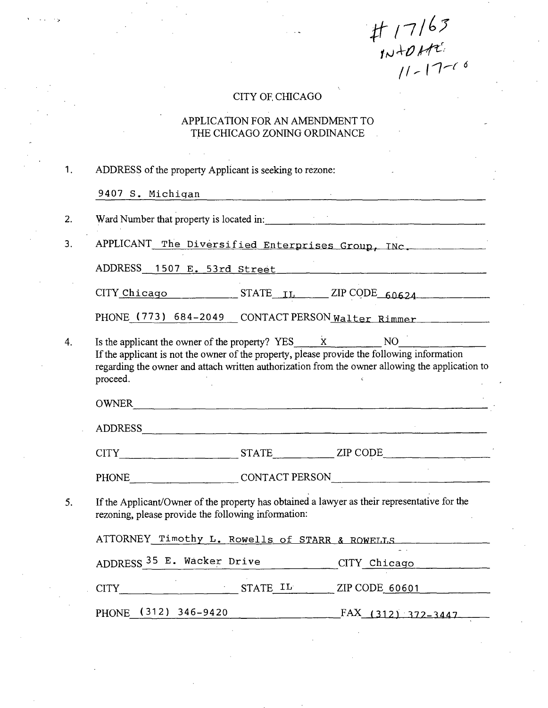$#17163$ <br>  $10+0+12$ 

## CITY OF, CHICAGO

## APPLICATION FOR AN AMENDMENT TO THE CHICAGO ZONING ORDINANCE

| 1. | ADDRESS of the property Applicant is seeking to rezone:                                                                                                                                                                                                                               |  |  |  |  |  |  |
|----|---------------------------------------------------------------------------------------------------------------------------------------------------------------------------------------------------------------------------------------------------------------------------------------|--|--|--|--|--|--|
|    | 9407 S. Michigan Manuel Communication of the Michigan Communication of the Michigan Communication of the Michigan Communication of the Michigan Communication of the Michigan Communication of the Michigan Communication of t                                                        |  |  |  |  |  |  |
| 2. | Ward Number that property is located in:                                                                                                                                                                                                                                              |  |  |  |  |  |  |
| 3. | APPLICANT The Diversified Enterprises Group, INC.                                                                                                                                                                                                                                     |  |  |  |  |  |  |
|    | ADDRESS 1507 E. 53rd Street                                                                                                                                                                                                                                                           |  |  |  |  |  |  |
|    | $CITY$ $Chicago$ $STATE$ $IL$ $ZIP$ $CODE$ $60624$                                                                                                                                                                                                                                    |  |  |  |  |  |  |
|    | PHONE (773) 684-2049 CONTACT PERSON Walter Rimmer                                                                                                                                                                                                                                     |  |  |  |  |  |  |
| 4. | Is the applicant the owner of the property? $YES_ x$<br>NO <sub>1</sub><br>If the applicant is not the owner of the property, please provide the following information<br>regarding the owner and attach written authorization from the owner allowing the application to<br>proceed. |  |  |  |  |  |  |
|    | OWNER                                                                                                                                                                                                                                                                                 |  |  |  |  |  |  |
|    |                                                                                                                                                                                                                                                                                       |  |  |  |  |  |  |
|    |                                                                                                                                                                                                                                                                                       |  |  |  |  |  |  |
|    | PHONE CONTACT PERSON                                                                                                                                                                                                                                                                  |  |  |  |  |  |  |
| 5. | If the Applicant/Owner of the property has obtained a lawyer as their representative for the<br>rezoning, please provide the following information:                                                                                                                                   |  |  |  |  |  |  |
|    | ATTORNEY Timothy L. Rowells of STARR & ROWELLS                                                                                                                                                                                                                                        |  |  |  |  |  |  |
|    | ADDRESS <sup>35</sup> E. Wacker Drive CITY Chicago                                                                                                                                                                                                                                    |  |  |  |  |  |  |
|    | CITY STATE IL ZIP CODE 60601                                                                                                                                                                                                                                                          |  |  |  |  |  |  |
|    | PHONE (312) 346-9420 FAX (312) 372-3447                                                                                                                                                                                                                                               |  |  |  |  |  |  |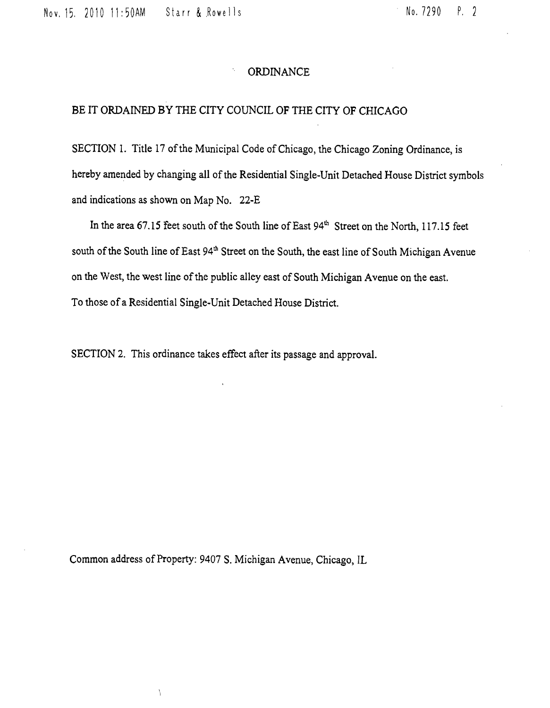lov, 15. 2010 11:50AM Starr & .Rowells No. 7290 P. 2

#### ORDINANCE

#### BE IT ORDAINED BY THE CITY COUNCIL OF THE CITY OF CHICAGO

SECTION 1. Title 17 of the Municipal Code of Chicago, the Chicago Zoning Ordinance, is hereby amended by changing all of the Residential Single-Unit Detached House District symbols and indications as shown on Map No. 22-E

In the area 67.15 feet south of the South line of East 94<sup>th</sup> Street on the North, 117.15 feet south of the South line of East 94<sup>th</sup> Street on the South, the east line of South Michigan Avenue on the West, the west line of the public alley east of South Michigan Avenue on the east. To those of a Residential Single-Unit Detached House District.

SECTION 2. This ordinance takes effect after its passage and approval.

Common address of Property: 9407 S. Michigan Avenue, Chicago, IL

 $\backslash$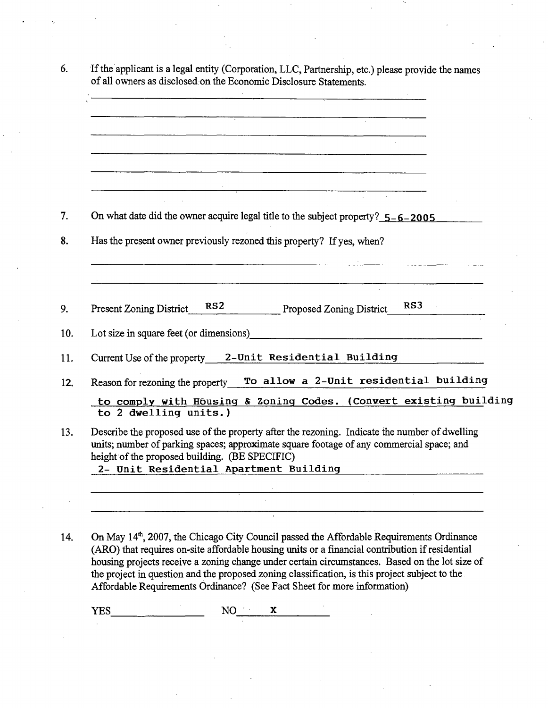| On what date did the owner acquire legal title to the subject property? $5 - 6 - 2005$                                                                                                    |
|-------------------------------------------------------------------------------------------------------------------------------------------------------------------------------------------|
| Has the present owner previously rezoned this property? If yes, when?                                                                                                                     |
|                                                                                                                                                                                           |
| RS3<br>RS <sub>2</sub><br><b>Proposed Zoning District</b><br>Present Zoning District                                                                                                      |
| Lot size in square feet (or dimensions)                                                                                                                                                   |
| Current Use of the property 2-Unit Residential Building                                                                                                                                   |
| To allow a 2-Unit residential building<br>Reason for rezoning the property                                                                                                                |
| to comply with Housing & Zoning Codes. (Convert existing building<br>to 2 dwelling units.)                                                                                                |
| Describe the proposed use of the property after the rezoning. Indicate the number of dwelling<br>units; number of parking spaces; approximate square footage of any commercial space; and |
| height of the proposed building. (BE SPECIFIC)<br>2- Unit Residential Apartment Building                                                                                                  |
|                                                                                                                                                                                           |

14. On May 14<sup>th</sup>, 2007, the Chicago City Council passed the Affordable Requirements Ordinance (ARO) that requires on-site affordable housing units or a financial contribution if residential housing projects receive a zoning change under certain circumstances. Based on the lot size of the project in question and the proposed zoning classification, is this project subject to the Affordable Requirements Ordinance? (See Fact Sheet for more information)

YES NO X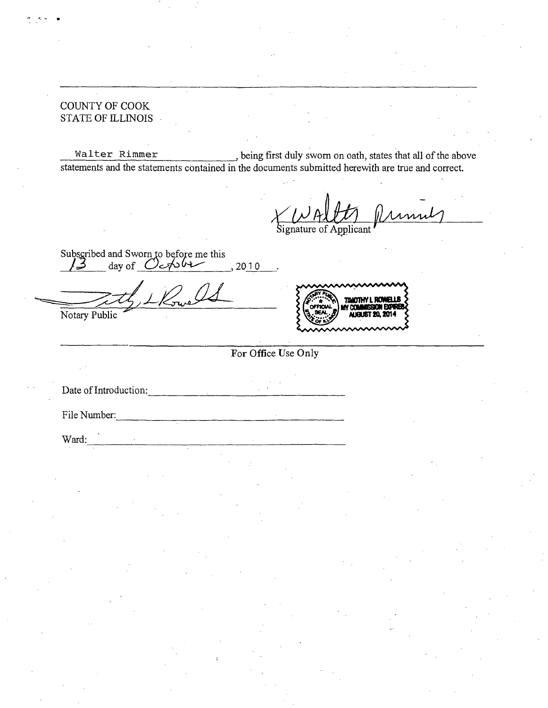COUNTY OF COOK STATE OF ILLINOIS

Walter Rimmer being first duly sworn on oath, states that all of the above statements and the statements contained in the documents submitted herewith are true and correct.

mul  $\bigvee_{\text{Signature of Application}}$ 

Subscribed and Sworn to before me this  $/3$  day of C  $\sim$  10 2010

Notary Public



**For Office Use Only** 

Date of Introduction:

File Number:

Ward: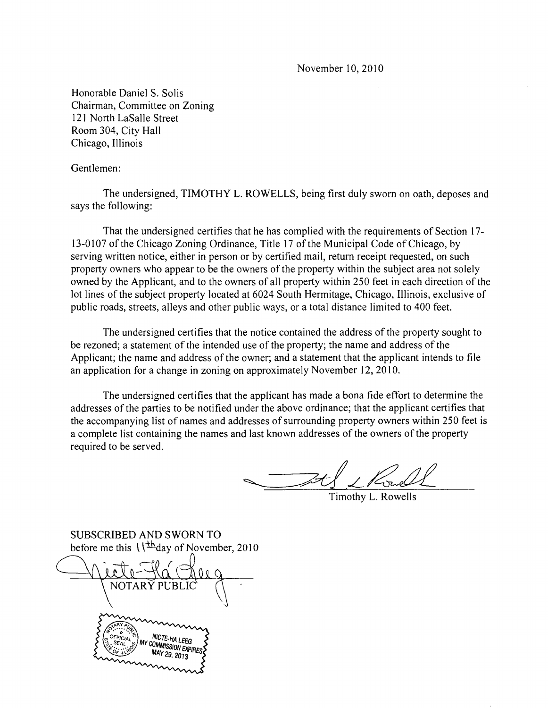November 10, 2010

Honorable Daniel S. Solis Chairman, Committee on Zoning 12] North LaSalle Street Room 304, City Hall Chicago, Illinois

#### Gentlemen:

The undersigned, TIMOTHY L. ROWELLS, being first duly sworn on oath, deposes and says the following:

That the undersigned certifies that he has complied with the requirements of Section 17- 13-0107 of the Chicago Zoning Ordinance, Title 17 of the Municipal Code of Chicago, by serving written notice, either in person or by certified mail, return receipt requested, on such property owners who appear to be the owners of the property within the subject area not solely owned by the Applicant, and to the owners of all property within 250 feet in each direction of the lot lines of the subject property located at 6024 South Hermitage, Chicago, Illinois, exclusive of public roads, streets, alleys and other public ways, or a total distance limited to 400 feet.

The undersigned certifies that the notice contained the address of the property sought to be rezoned; a statement of the intended use of the property; the name and address of the Applicant; the name and address of the owner; and a statement that the applicant intends to file an application for a change in zoning on approximately November 12, 2010.

The undersigned certifies that the applicant has made a bona fide effort to determine the addresses of the parties to be notified under the above ordinance; that the applicant certifies that the accompanying list of names and addresses of surrounding property owners within 250 feet is a complete list containing the names and last known addresses of the owners of the property required to be served.

Timothy L. Rowells

SUBSCRIBED AND SWORN TO before me this  $\sqrt{\frac{1}{2}}$ day of November, 2010

NOTARY PUBI COMMISSION EXPIRE MAY 29, 2013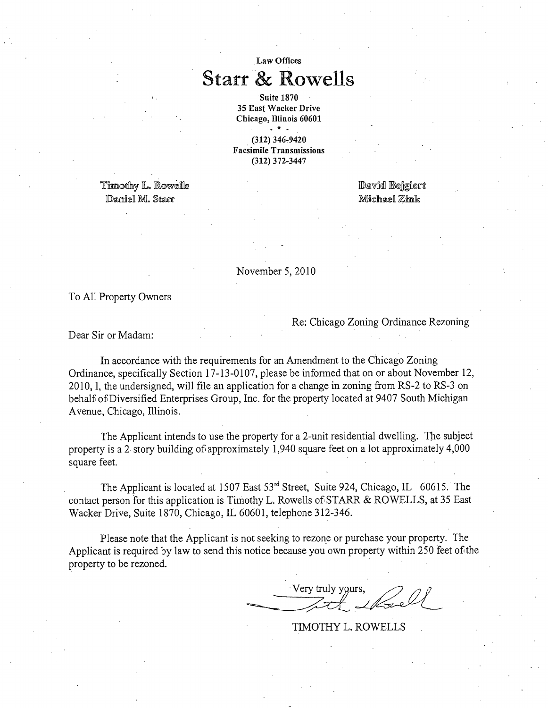## Law Offices **Starr & Rowells**

Suite 1870 35 East Wacker Drive Chicago, Illinois 60601 \_ \* \_ (312) 346-9420 Facsimile Transniissions

(312) 372-3447

Timothy L. Rowells Damiel M. Starr States and States and Michael Zimk

David Bejgiert

November 5,2010

To All Property Owners

Re: Chicago Zoning Ordinance Rezoning

Dear Sir or Madam:

In accordance with the requirements for an Amendment to the Chicago Zoning Ordinance, specifically Section 17-13-0107, please be informed that on or about November 12, 2010,1, the undersigned, will file an application for a change in zoning from RS-2 to RS-3 on behalf of Diversified Enterprises Group, Inc. for the property located at 9407 South Michigan Avenue, Chicago, Illinois.

The Applicant intends to use the property for a 2-unit residential dwelling. The subject property is a 2-story building of approximately 1,940 square feet on a lot approximately 4,000 square feet.

The Applicant is located at 1507 East  $53<sup>rd</sup>$  Street, Suite 924, Chicago, IL 60615. The contact person for this application is Timothy L. Rowells of STARR & ROWELLS, at 35 East Wacker Drive, Suite 1870, Chicago, IL 60601, telephone 312-346.

Please note that the Applicant is not seeking to rezone or purchase your property. The Applicant is required by law to send this notice because you own property within 250 feet of the property to be rezoned.

 $\rightarrow$ 

TIMOTHY LATER SERVICE SERVICE SERVICE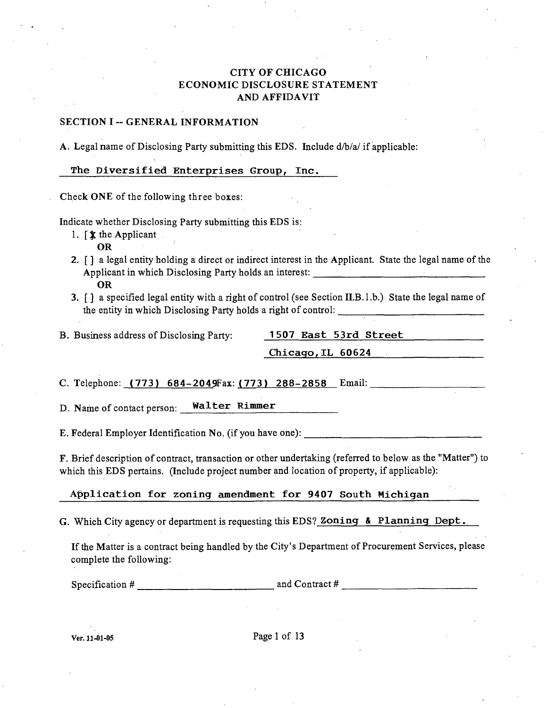#### CITY OF CHICAGO ECONOMIC DISCLOSURE STATEMENT AND AFFIDAVIT

#### SECTION I -- GENERAL INFORMATION

A. Legal name of Disclosing Party submitting this EDS. Include d/b/a/ if applicable:

The Diversified Enterprises Group, Inc.

Check ONE of the following three boxes:

Indicate whether Disclosing Party submitting this EDS is:

- 1.  $\oint \mathbf{x}$  the Applicant. OR
- 2. [] a legal entity holding a direct or indirect interest in the Applicant. State the legal name of the Applicant in which Disclosing Party holds an interest: OR
- 3. [] a specified legal entity with a right of control (see Section II.B.l.b.) State the legal name of the entity in which Disclosing Party holds a right of control:

B. Business address of Disclosing Party: 1507 East 53rd Street

**Chicago,IL 60624** 

C. Telephone: (773) 684-2049Fax: (773) 288-2858 Email:

D. Name of contact person: Walter Rimmer

E. Federal Employer Identification No. (if you have one):

F, Brief description of contract, transaction or other undertaking (referred to below as the "Matter") to which this EDS pertains. (Include project number and location of property, if applicable):

Application for zoning amendment for 9407 South Michigan

G. Which City agency or department is requesting this EDS? Zoning & Planning Dept.

If the Matter is a contract being handled by the City's Department of Procurement Services, please complete the following:

Specification  $\#$  and Contract  $\#$  and Contract  $\#$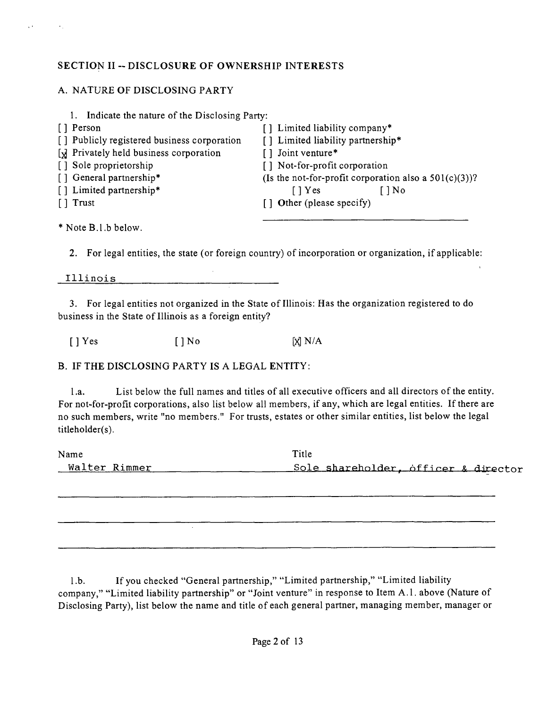#### **SECTION II -- DISCLOSURE OF OWNERSHIP INTERESTS**

## A. NATURE OF DISCLOSING PARTY

 $\ddot{\phantom{a}}$ 

| 1. Indicate the nature of the Disclosing Party: |                                                          |  |  |
|-------------------------------------------------|----------------------------------------------------------|--|--|
| [ ] Person                                      | [] Limited liability company*                            |  |  |
| [] Publicly registered business corporation     | [] Limited liability partnership*                        |  |  |
| [x] Privately held business corporation         | [] Joint venture*                                        |  |  |
| [] Sole proprietorship                          | [] Not-for-profit corporation                            |  |  |
| [] General partnership*                         | (Is the not-for-profit corporation also a $501(c)(3)$ )? |  |  |
| [] Limited partnership*                         | $\lceil$   Yes<br>$1\text{No}$                           |  |  |
| [ ] Trust                                       | [] Other (please specify)                                |  |  |
| * Note B.1.b below.                             |                                                          |  |  |

2. For legal entities, the state (or foreign country) of incorporation or organization, if applicable:

Illinois

3. For legal entities not organized in the State of Illinois: Has the organization registered to do business in the State of Illinois as a foreign entity?

 $[ ]$  Yes  $[ ]$  No  $[$   $]$  No  $[$   $]$  N/A

B. IF THE DISCLOSING PARTY IS A LEGAL ENTITY:

l.a. List below the full names and titles of all executive officers and all directors of the entity. For not-for-profit corporations, also list below all members, if any, which are legal entities. If there are no such members, write "no members." For trusts, estates or other similar entities, list below the legal titleholder(s).

| Name          | Title                                |
|---------------|--------------------------------------|
| Walter Rimmer | Sole shareholder, officer & director |

l.b. If you checked "General partnership," "Limited partnership," "Limited liability company," "Limited liability partnership" or "Joint venture" in response to Item A.l . above (Nature of Disclosing Party), list below the name and title of each general partner, managing member, manager or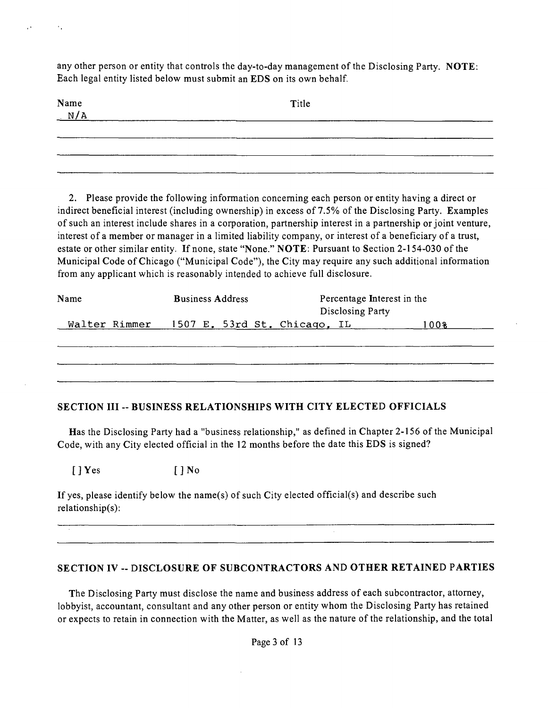any other person or entity that controls the day-to-day management of the Disclosing Party. NOTE: Each legal entity listed below must submit an EDS on its own behalf.

| Name $N/A$ | Title |  |
|------------|-------|--|
|            |       |  |
|            |       |  |

2. Please provide the following information concerning each person or entity having a direct or indirect beneficial interest (including ownership) in excess of 7.5% of the Disclosing Party. Examples of such an interest include shares in a corporation, partnership interest in a partnership or joint venture, interest of a member or manager in a limited liability company, or interest of a beneficiary of a trust, estate or other similar entity. If none, state "None." NOTE: Pursuant to Section 2-154-030 of the Municipal Code of Chicago ("Municipal Code"), the City may require any such additional information from any applicant which is reasonably intended to achieve full disclosure.

| Name |  | <b>Business Address</b> |                                            | Disclosing Party | Percentage Interest in the |
|------|--|-------------------------|--------------------------------------------|------------------|----------------------------|
|      |  |                         | Walter Rimmer 1507 E. 53rd St. Chicago. IL |                  | 100%                       |
|      |  |                         |                                            |                  |                            |
|      |  |                         |                                            |                  |                            |
|      |  |                         |                                            |                  |                            |
|      |  |                         |                                            |                  |                            |

#### **SECTION III -- BUSINESS RELATIONSHIPS WITH CITY ELECTED OFFICIALS**

Has the Disclosing Party had a "business relationship," as defined in Chapter 2-156 of the Municipal Code, with any City elected official in the 12 months before the date this EDS is signed?

 $[ ]$  Yes  $[ ]$  No

If yes, please identify below the name(s) of such City elected official(s) and describe such relationship(s):

#### **SECTION IV -- DISCLOSURE OF SUBCONTRACTORS AND OTHER RETAINED PARTIES**

The Disclosing Party must disclose the name and business address of each subcontractor, attorney, lobbyist, accountant, consultant and any other person or entity whom the Disclosing Party has retained or expects to retain in connection with the Matter, as well as the nature of the relationship, and the total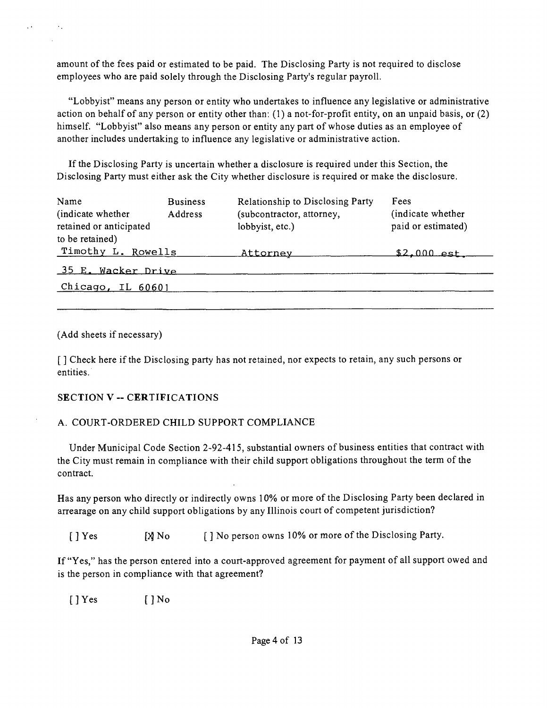amount of the fees paid or estimated to be paid. The Disclosing Party is not required to disclose employees who are paid solely through the Disclosing Party's regular payroll.

"Lobbyist" means any person or entity who undertakes to influence any legislative or administrative action on behalf of any person or entity other than: (1) a not-for-profit entity, on an unpaid basis, or (2) himself. "Lobbyist" also means any person or entity any part of whose duties as an employee of another includes undertaking to influence any legislative or administrative action.

If the Disclosing Party is uncertain whether a disclosure is required under this Section, the Disclosing Party must either ask the City whether disclosure is required or make the disclosure.

| Name<br>(indicate whether)<br>retained or anticipated<br>to be retained) | <b>Business</b><br>Address | Relationship to Disclosing Party<br>(subcontractor, attorney,<br>lobbyist, etc.) | Fees<br>(indicate whether)<br>paid or estimated) |
|--------------------------------------------------------------------------|----------------------------|----------------------------------------------------------------------------------|--------------------------------------------------|
| Timothy L. Rowells                                                       |                            | Attorney                                                                         | \$2.000 est.                                     |
| 35 E. Wacker Drive                                                       |                            |                                                                                  |                                                  |
| Chicago, IL $60601$                                                      |                            |                                                                                  |                                                  |

(Add sheets if necessary)

 $\sim$ 

[ ] Check here if the Disclosing party has not retained, nor expects to retain, any such persons or entities.

#### **SECTION V - CERTIFICATIONS**

#### A. COURT-ORDERED CHILD SUPPORT COMPLIANCE

Under Municipal Code Section 2-92-415, substantial owners of business entities that contract with the City must remain in compliance with their child support obligations throughout the term of the contract.

Has any person who directly or indirectly owns 10% or more of the Disclosing Party been declared in arrearage on any child support obligations by any Illinois court of competent jurisdiction?

[ ] Yes [X] No [ ] No person owns 10% or more of the Disclosing Party.

If "Yes," has the person entered into a court-approved agreement for payment of all support owed and is the person in compliance with that agreement?

 $[$  ] Yes  $[$  ] No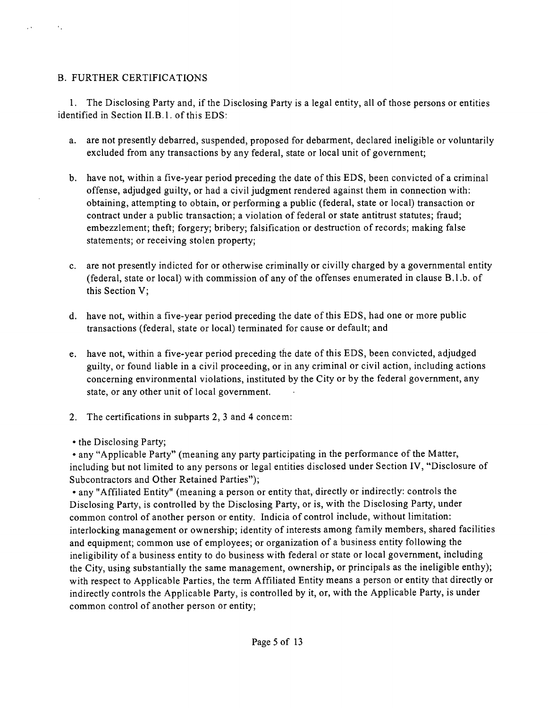#### B. FURTHER CERTIFICATIONS

 $\sim$   $\sim$ 

 $\sim$ 

1. The Disclosing Party and, if the Disclosing Party is a legal entity, all of those persons or entities identified in Section II.B.l. of this EDS:

- a. are not presently debarred, suspended, proposed for debarment, declared ineligible or voluntarily excluded from any transactions by any federal, state or local unit of government;
- b. have not, within a five-year period preceding the date of this EDS, been convicted of a criminal offense, adjudged guilty, or had a civil judgment rendered against them in connection with: obtaining, attempting to obtain, or performing a public (federal, state or local) transaction or contract under a public transaction; a violation of federal or state antitrust statutes; fraud; embezzlement; theft; forgery; bribery; falsification or destruction of records; making false statements; or receiving stolen property;
- c. are not presently indicted for or otherwise criminally or civilly charged by a governmental entity (federal, state or local) with commission of any of the offenses enumerated in clause B.l.b. of this Section V;
- d. have not, within a five-year period preceding the date of this EDS, had one or more public transactions (federal, state or local) terminated for cause or default; and
- e. have not, within a five-year period preceding the date of this EDS, been convicted, adjudged guilty, or found liable in a civil proceeding, or in any criminal or civil action, including actions concerning environmental violations, instituted by the City or by the federal government, any state, or any other unit of local government.
- 2. The certifications in subparts 2, 3 and 4 concem:
- the Disclosing Party;

• any "Applicable Party" (meaning any party participating in the performance of the Matter, including but not limited to any persons or legal entities disclosed under Section IV, "Disclosure of Subcontractors and Other Retained Parties");

• any "Affiliated Entity" (meaning a person or entity that, directly or indirectly: controls the Disclosing Party, is controlled by the Disclosing Party, or is, with the Disclosing Party, under common control of another person or entity. Indicia of control include, without limitation: interlocking management or ownership; identity of interests among family members, shared facilities and equipment; common use of employees; or organization of a business entity following the ineligibility of a business entity to do business with federal or state or local government, including the City, using substantially the same management, ownership, or principals as the ineligible enthy); with respect to Applicable Parties, the term Affiliated Entity means a person or entity that directly or indirectly controls the Applicable Party, is controlled by it, or, with the Applicable Party, is under common control of another person or entity;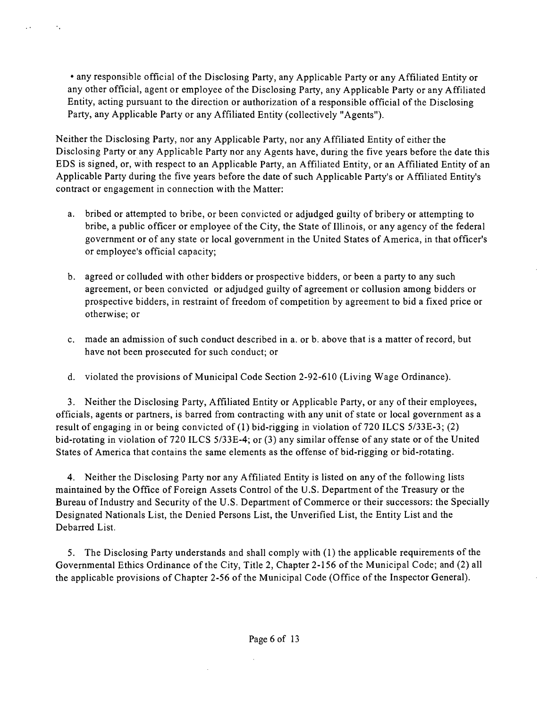• any responsible official of the Disclosing Party, any Applicable Party or any Affiliated Entity or any other official, agent or employee of the Disclosing Party, any Applicable Party or any Affiliated Entity, acting pursuant to the direction or authorization of a responsible official of the Disclosing Party, any Applicable Party or any Affiliated Entity (collectively "Agents").

уý.

 $\sim 10$ 

Neither the Disclosing Party, nor any Applicable Party, nor any Affiliated Entity of either the Disclosing Party or any Applicable Party nor any Agents have, during the five years before the date this EDS is signed, or, with respect to an Applicable Party, an Affiliated Entity, or an Affiliated Entity of an Applicable Party during the five years before the date of such Applicable Party's or Affiliated Entity's contract or engagement in connection with the Matter:

- a. bribed or attempted to bribe, or been convicted or adjudged guilty of bribery or attempting to bribe, a public officer or employee of the City, the State of Illinois, or any agency of the federal government or of any state or local government in the United States of America, in that officer's or employee's official capacity;
- b. agreed or colluded with other bidders or prospective bidders, or been a party to any such agreement, or been convicted or adjudged guilty of agreement or collusion among bidders or prospective bidders, in restraint of freedom of competition by agreement to bid a fixed price or otherwise; or
- c, made an admission of such conduct described in a. or b. above that is a matter of record, but have not been prosecuted for such conduct; or
- d, violated the provisions of Municipal Code Section 2-92-610 (Living Wage Ordinance).

3. Neither the Disclosing Party, Affiliated Entity or Applicable Party, or any of their employees, officials, agents or partners, is barred from contracting with any unit of state or local government as a result of engaging in or being convicted of (1) bid-rigging in violation of 720 ILCS 5/33E-3; (2) bid-rotating in violation of 720 ILCS 5/33E-4; or (3) any similar offense of any state or of the United States of America that contains the same elements as the offense of bid-rigging or bid-rotating.

4. Neither the Disclosing Party nor any Affiliated Entity is listed on any of the following lists maintained by the Office of Foreign Assets Control of the U.S. Department of the Treasury or the Bureau of Industry and Security of the U.S. Department of Commerce or their successors: the Specially Designated Nationals List, the Denied Persons List, the Unverified List, the Entity List and the Debarred List.

5. The Disclosing Party understands and shall comply with (1) the applicable requirements of the Governmental Ethics Ordinance of the City, Title 2, Chapter 2-156 of the Municipal Code; and (2) all the applicable provisions of Chapter 2-56 of the Municipal Code (Office of the Inspector General).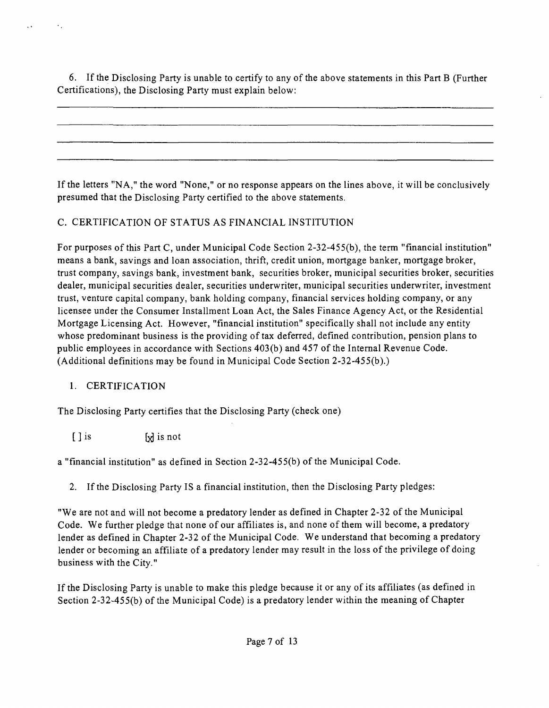6. If the Disclosing Party is unable to certify to any of the above statements in this Part B (Further Certifications), the Disclosing Party must explain below:

If the letters "NA," the word "None," or no response appears on the lines above, it will be conclusively presumed that the Disclosing Party certified to the above statements.

## C. CERTIFICATION OF STATUS AS FINANCIAL INSTITUTION

For purposes of this Part C, under Municipal Code Section 2-32-455(b), the term "financial institution" means a bank, savings and loan association, thrift, credit union, mortgage banker, mortgage broker, trust company, savings bank, investment bank, securhies broker, municipal securities broker, securities dealer, municipal securities dealer, securities underwriter, municipal securities underwriter, investment trust, venture capital company, bank holding company, financial services holding company, or any licensee under the Consumer Installment Loan Act, the Sales Finance Agency Act, or the Residential Mortgage Licensing Act. However, "financial institution" specifically shall not include any entity whose predominant business is the providing of tax deferred, defined contribution, pension plans to public employees in accordance with Sections 403(b) and 457 of the Internal Revenue Code. (Additional definitions may be found in Municipal Code Section 2-32-455(b).)

## 1. CERTIFICATION

The Disclosing Party certifies that the Disclosing Party (check one)

 $\left[\begin{array}{ccc} 1 & \text{is} \\ \end{array}\right]$  is not

a "financial institution" as defined in Section 2-32-455(b) of the Municipal Code.

2. If the Disclosing Party IS a financial institution, then the Disclosing Party pledges:

"We are not and will not become a predatory lender as defined in Chapter 2-32 of the Municipal Code. We further pledge that none of our affiliates is, and none of them will become, a predatory lender as defined in Chapter 2-32 of the Municipal Code. We understand that becoming a predatory lender or becoming an affiliate of a predatory lender may result in the loss of the privilege of doing business with the City."

If the Disclosing Party is unable to make this pledge because it or any of its affiliates (as defined in Section 2-32-455(b) of the Municipal Code) is a predatory lender within the meaning of Chapter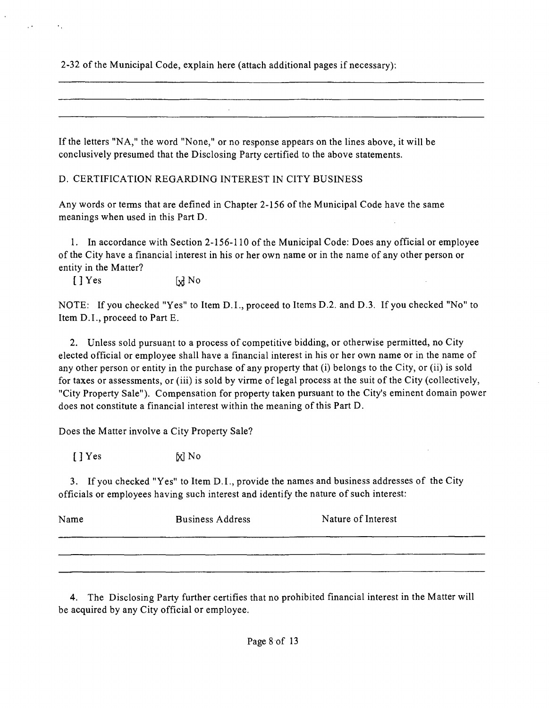2-32 of the Municipal Code, explain here (attach additional pages if necessary);

If the letters "NA," the word "None," or no response appears on the lines above, it will be conclusively presumed that the Disclosing Party certified to the above statements.

D. CERTIFICATION REGARDING INTEREST IN CITY BUSINESS

Any words or terms that are defined in Chapter 2-156 of the Municipal Code have the same meanings when used in this Part D.

1. In accordance with Section 2-156-110 of the Municipal Code: Does any official or employee of the City have a financial interest in his or her own name or in the name of any other person or entity in the Matter?

 $\left[\begin{array}{ccc} \end{array}\right]$  Yes  $\left[\begin{array}{ccc} \end{array}\right]$  No

NOTE: If you checked "Yes" to Item D.I., proceed to Items D.2. and D.3. If you checked "No" to Item D.I., proceed to Part E.

2. Unless sold pursuant to a process of competitive bidding, or otherwise permitted, no City elected official or employee shall have a financial interest in his or her own name or in the name of any other person or entity in the purchase of any property that (i) belongs to the City, or (ii) is sold for taxes or assessments, or (iii) is sold by virme of legal process at the suit of the City (collectively, "City Property Sale"). Compensation for property taken pursuant to the City's eminent domain power does not constitute a financial interest within the meaning of this Part D,

Does the Matter involve a City Property Sale?

 $[$   $]$   $Y$ es  $\lbrack$   $\lbrack$   $\rbrack$   $\lbrack$   $\lbrack$   $\lbrack$   $\lbrack$   $\rbrack$   $\lbrack$   $\lbrack$   $\rbrack$   $\lbrack$   $\lbrack$   $\rbrack$   $\lbrack$   $\lbrack$   $\rbrack$   $\rbrack$   $\lbrack$   $\lbrack$   $\rbrack$   $\rbrack$   $\lbrack$   $\rbrack$   $\rbrack$   $\rbrack$   $\rbrack$   $\rbrack$   $\rbrack$   $\rbrack$   $\rbrack$   $\rbrack$ 

3. If you checked "Yes" to Item D.I., provide the names and business addresses of the City officials or employees having such interest and identify the nature of such interest:

| Name | <b>Business Address</b> | Nature of Interest |
|------|-------------------------|--------------------|
|      |                         |                    |
|      |                         |                    |

4. The Disclosing Party further certifies that no prohibited financial interest in the Matter will be acquired by any City official or employee.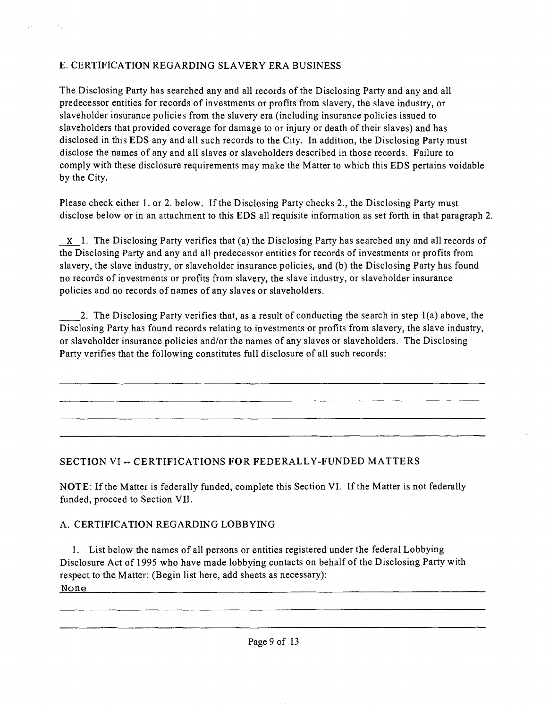## E. CERTIFICATION REGARDING SLAVERY ERA BUSINESS

 $\mathcal{A}_{\mathcal{A}}$ 

The Disclosing Party has searched any and all records of the Disclosing Party and any and all predecessor entities for records of investments or profits from slavery, the slave industry, or slaveholder insurance policies from the slavery era (including insurance policies issued to slaveholders that provided coverage for damage to or injury or death of their slaves) and has disclosed in this EDS any and all such records to the City. In addition, the Disclosing Party must disclose the names of any and all slaves or slaveholders described in those records. Failure to comply with these disclosure requirements may make the Matter to which this EDS pertains voidable by the City.

Please check either 1. or 2. below. If the Disclosing Party checks 2., the Disclosing Party must disclose below or in an attachment to this EDS all requisite information as set forth in that paragraph 2.

 $X$  1. The Disclosing Party verifies that (a) the Disclosing Party has searched any and all records of the Disclosing Party and any and all predecessor entities for records of investments or profits from slavery, the slave industry, or slaveholder insurance policies, and (b) the Disclosing Party has found no records of investments or profits from slavery, the slave industry, or slaveholder insurance policies and no records of names of any slaves or slaveholders.

2. The Disclosing Party verifies that, as a result of conducting the search in step 1(a) above, the Disclosing Party has found records relating to investments or profits from slavery, the slave industry, or slaveholder insurance policies and/or the names of any slaves or slaveholders. The Disclosing Party verifies that the following constitutes full disclosure of all such records:

## **SECTION VI -. CERTIFICATIONS FOR FEDERALLY-FUNDED MATTERS**

NOTE: If the Matter is federally funded, complete this Section VI. If the Matter is not federally funded, proceed to Section VII.

## A. CERTIFICATION REGARDING LOBBYING

1. List below the names of all persons or entities registered under the federal Lobbying Disclosure Act of 1995 who have made lobbying contacts on behalf of the Disclosing Party with respect to the Matter: (Begin list here, add sheets as necessary): None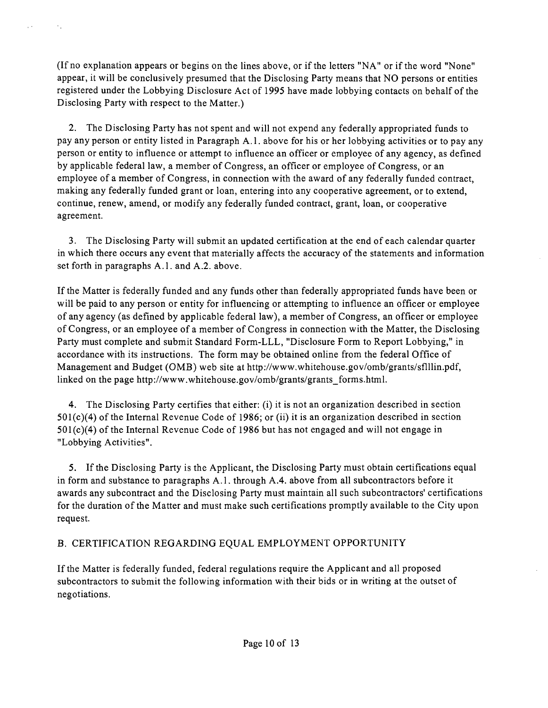(If no explanation appears or begins on the lines above, or if the letters "NA" or if the word "None" appear, it will be conclusively presumed that the Disclosing Party means that NO persons or entities registered under the Lobbying Disclosure Act of 1995 have made lobbying contacts on behalf of the Disclosing Party with respect to the Matter.)

y v

 $\mathcal{A}_{\mathcal{A}}$ 

2. The Disclosing Party has not spent and will not expend any federally appropriated funds to pay any person or entity listed in Paragraph A.l . above for his or her lobbying activities or to pay any person or entity to influence or attempt to influence an officer or employee of any agency, as defined by applicable federal law, a member of Congress, an officer or employee of Congress, or an employee of a member of Congress, in connection with the award of any federally funded contract, making any federally funded grant or loan, entering into any cooperative agreement, or to extend, continue, renew, amend, or modify any federally funded contract, grant, loan, or cooperative agreement.

3. The Disclosing Party will submit an updated certification at the end of each calendar quarter in which there occurs any event that materially affects the accuracy of the statements and information set forth in paragraphs A.1. and A.2. above.

If the Matter is federally funded and any funds other than federally appropriated funds have been or will be paid to any person or entity for influencing or attempting to influence an officer or employee of any agency (as defined by applicable federal law), a member of Congress, an officer or employee of Congress, or an employee of a member of Congress in connection with the Matter, the Disclosing Party must complete and submit Standard Form-LLL, "Disclosure Form to Report Lobbying," in accordance with its instructions. The form may be obtained online from the federal Office of Management and Budget (OMB) web site at http://www.whitehouse.gov/omb/grants/sflllin.pdf, linked on the page http://www.whitehouse.gov/omb/grants/grants\_forms.html.

4. The Disclosing Party certifies that either: (i) it is not an organization described in section 501(c)(4) of the Internal Revenue Code of 1986; or (ii) it is an organization described in section 501(c)(4) of the Internal Revenue Code of 1986 but has not engaged and will not engage in "Lobbying Activities".

5. If the Disclosing Party is the Applicant, the Disclosing Party must obtain certifications equal in form and substance to paragraphs A.l . through A.4. above from all subcontractors before it awards any subcontract and the Disclosing Party must maintain all such subcontractors' certifications for the duration of the Matter and must make such certifications promptly available to the City upon request.

## B. CERTIFICATION REGARDING EQUAL EMPLOYMENT OPPORTUNITY

If the Matter is federally funded, federal regulations require the Applicant and all proposed subcontractors to submit the following information with their bids or in writing at the outset of negotiations.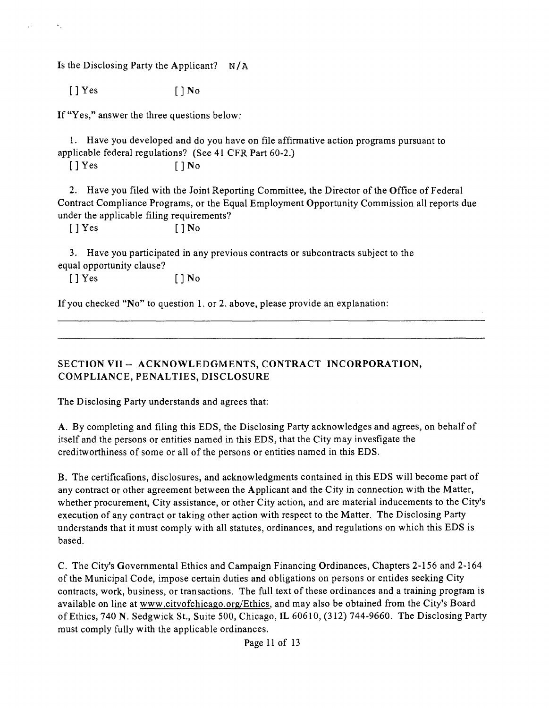Is the Disclosing Party the Applicant?  $N/A$ 

 $[$   $]$  Yes  $[$   $]$  No

If "Yes," answer the three questions below;

1. Have you developed and do you have on file affirmative action programs pursuant to applicable federal regulations? (See 41 CFR Part 60-2.)

 $[ ] Yes$   $[ ] No$ 

2. Have you filed with the Joint Reporting Committee, the Director of the Office of Federal Contract Compliance Programs, or the Equal Employment Opportunity Commission all reports due under the applicable filing requirements?

[ ] Yes [ ] No

3. Have you participated in any previous contracts or subcontracts subject to the equal opportunity clause?

 $[ ] Yes$   $] No$ 

If you checked "No" to question 1. or 2. above, please provide an explanation:

**SECTION VII -- ACKNOWLEDGMENTS, CONTRACT INCORPORATION, COMPLIANCE, PENALTIES, DISCLOSURE** 

The Disclosing Party understands and agrees that;

A. By completing and filing this EDS, the Disclosing Party acknowledges and agrees, on behalf of itself and the persons or entities named in this EDS, that the City may invesfigate the creditworthiness of some or all of the persons or entities named in this EDS.

B. The certificafions, disclosures, and acknowledgments contained in this EDS will become part of any contract or other agreement between the Applicant and the City in connection with the Matter, whether procurement. City assistance, or other City action, and are material inducements to the City's execution of any contract or taking other action with respect to the Matter. The Disclosing Party understands that it must comply with all statutes, ordinances, and regulations on which this EDS is based.

C. The City's Governmental Ethics and Campaign Financing Ordinances, Chapters 2-156 and 2-164 of the Municipal Code, impose certain duties and obligations on persons or entides seeking City contracts, work, business, or transactions. The full text of these ordinances and a training program is available on line at www.citvofchicago.org/Ethics, and may also be obtained from the City's Board of Ethics, 740 N. Sedgwick St., Suite 500, Chicago, IL 60610, (312) 744-9660. The Disclosing Party must comply fully with the applicable ordinances.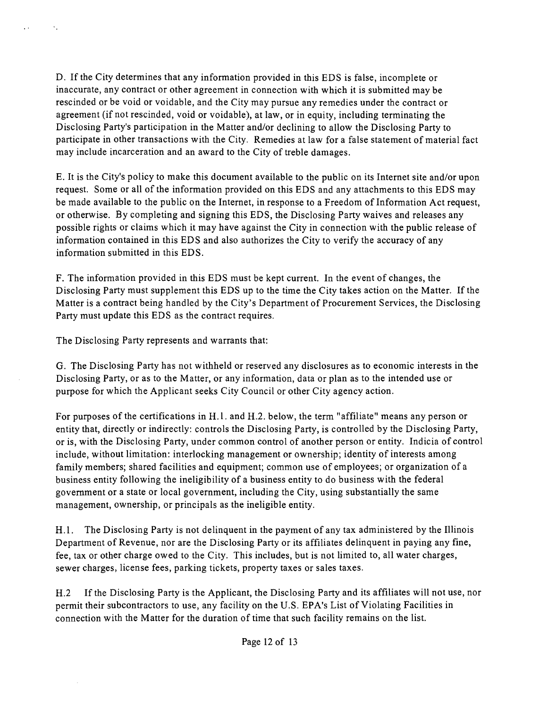D. If the City determines that any information provided in this EDS is false, incomplete or inaccurate, any contract or other agreement in connection with which it is submitted may be rescinded or be void or voidable, and the City may pursue any remedies under the contract or agreement (if not rescinded, void or voidable), at law, or in equity, including terminating the Disclosing Party's participation in the Matter and/or declining to allow the Disclosing Party to participate in other transactions with the City. Remedies at law for a false statement of material fact may include incarceration and an award to the City of treble damages.

E. It is the City's policy to make this document available to the public on its Internet site and/or upon request. Some or all of the information provided on this EDS and any attachments to this EDS may be made available to the public on the Internet, in response to a Freedom of Information Act request, or otherwise. By completing and signing this EDS, the Disclosing Party waives and releases any possible rights or claims which it may have against the City in connection with the public release of information contained in this EDS and also authorizes the City to verify the accuracy of any information submitted in this EDS.

F. The information provided in this EDS must be kept current. In the event of changes, the Disclosing Party must supplement this EDS up to the time the City takes action on the Matter. If the Matter is a contract being handled by the City's Department of Procurement Services, the Disclosing Party must update this EDS as the contract requires.

The Disclosing Party represents and warrants that:

 $\mathcal{N}_\text{c}$ 

 $\ddot{\phantom{a}}$ 

G. The Disclosing Party has not withheld or reserved any disclosures as to economic interests in the Disclosing Party, or as to the Matter, or any information, data or plan as to the intended use or purpose for which the Applicant seeks City Council or other City agency action.

For purposes of the certifications in H.1. and H.2. below, the term "affiliate" means any person or entity that, directly or indirectly: controls the Disclosing Party, is controlled by the Disclosing Party, or is, with the Disclosing Party, under common control of another person or entity. Indicia of control include, without limitation: interlocking management or ownership; identity of interests among family members; shared facilities and equipment; common use of employees; or organization of a business entity following the ineligibility of a business entity to do business with the federal government or a state or local government, including the City, using substantially the same management, ownership, or principals as the ineligible entity.

H.1. The Disclosing Party is not delinquent in the payment of any tax administered by the Illinois Department of Revenue, nor are the Disclosing Party or its affiliates delinquent in paying any fine, fee, tax or other charge owed to the City. This includes, but is not limited to, all water charges, sewer charges, license fees, parking tickets, property taxes or sales taxes.

H.2 If the Disclosing Party is the Applicant, the Disclosing Party and its affiliates will not use, nor permit their subcontractors to use, any facility on the U.S. EPA's List of Violating Facilities in connection with the Matter for the duration of time that such facility remains on the list.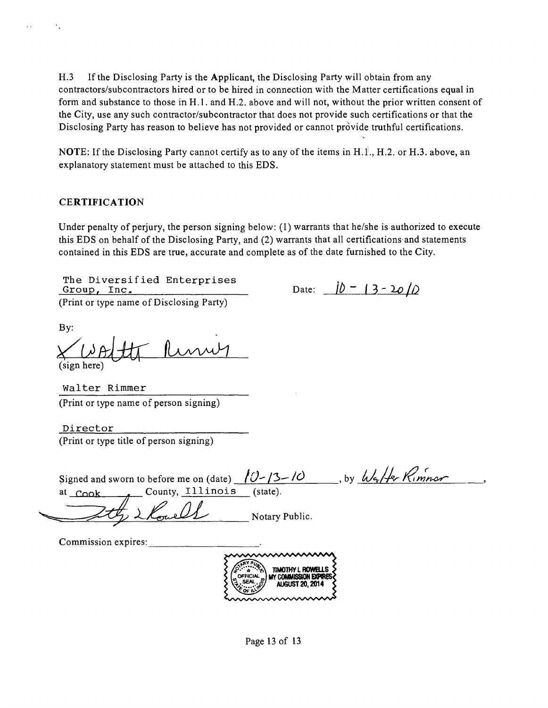H.3 If the Disclosing Party is the Applicant, the Disclosing Party will obtain from any contractors/subcontractors hired or to be hired in connection with the Matter certifications equal in form and substance to those in H.l . and H.2. above and will not, without the prior written consent of the City, use any such contractor/subcontractor that does not provide such certifications or that the Disclosing Party has reason to believe has not provided or cannot provide truthful certifications.

NOTE: If the Disclosing Party cannot certify as to any of the items in H.1., H.2. or H.3. above, an explanatory statement must be attached to this EDS.

#### **CERTIFICATION**

Under penalty of perjury, the person signing below:  $(I)$  warrants that he/she is authorized to execute this EDS on behalf of the Disclosing Party, and (2) warrants that all certifications and statements contained in this EDS are true, accurate and complete as of the date furnished to the City.

The Diversified Enterprises Group, Inc. (Print or type name of Disclosing Party)

Date:  $j\bar{0} - 13 - 20/\bar{0}$ 

By:

(sign here)

Walter Rimmer (Print or type name of person signing)

Director (Print or type title of person signing)

| Signed and sworn to before me on (date) $10-13-10$ |                | by Watter Kimmar |  |
|----------------------------------------------------|----------------|------------------|--|
| County, Illinois<br><sup>at</sup> Cook             | (state).       |                  |  |
|                                                    | Notary Public. |                  |  |





Page 13 of 13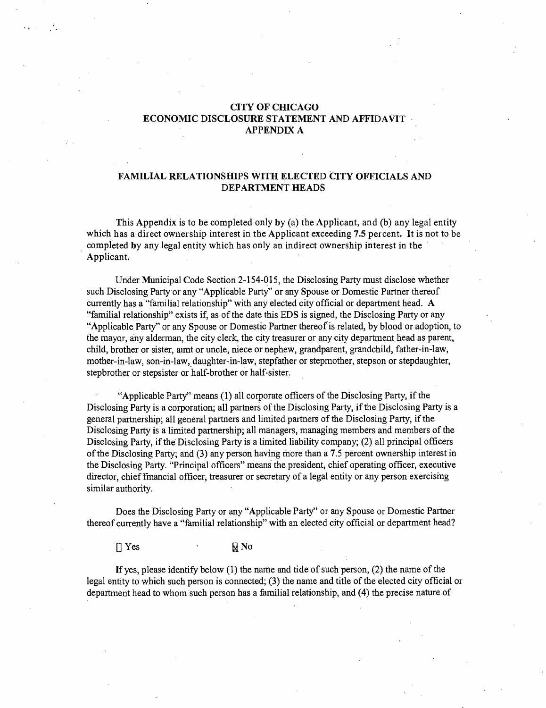#### **CITY OF CHICAGO ECONOMIC DISCLOSURE STATEMENT AND AFFIDAVIT APPENDIX A**

#### **FAMILIAL RELATIONSHIPS WITH ELECTED CITY OFFICIALS AND DEPARTMENT HEADS**

**This Appendix is to be completed only by (a) the Applicant, and (b) any legal entity which has a direct ownership interest in the Applicant exceeding 7.5 percent. It is not to be completed by any legal entity which has only an indirect ownership interest in the Applicant.** 

Under Municipal Code Section 2-154-015, the Disclosing Party must disclose whether such Disclosing Party or any "Applicable Party" or any Spouse or Domestic Partner thereof currently has a "familial relationship" with any elected city official or department head. A "familial relationship" exists if, as of the date this EDS is signed, the Disclosing Party or any "Applicable Party" or any Spouse or Domestic Partner thereof is related, by blood or adoption, to the mayor, any alderman, the city clerk, the city treasurer or any city department head as parent, child, brother or sister, aimt or uncle, niece or nephew, grandparent, grandchild, father-in-law, mother-in-law, son-in-law, daughter-in-law, stepfather or stepmother, stepson or stepdaughter, stepbrother or stepsister or half-brother or half-sister.

"Applicable Party" means (1) all corporate officers of the Disclosing Party, if the Disclosing Party is a corporation; all partners of the Disclosing Party, if the Disclosing Party is a general partnership; all general partners and limited partners of the Disclosing Party, if the Disclosing Party is a limited partnership; all managers, managing members and members of the Disclosing Party, if the Disclosing Party is a limited liability company; (2) all principal officers of the Disclosing Party; and (3) any person having more than a 7.5 percent ownership interest in the Disclosing Party. "Principal officers" means the president, chief operating officer, executive director, chief fmancial officer, treasurer or secretary of a legal entity or any person exercismg similar authority.

Does the Disclosing Party or any "Applicable Party" or any Spouse or Domestic Partner thereof currently have a "familial relationship" with an elected city official or department head?

 $[$   $]$   $Y$ es  $\qquad \qquad$   $\qquad$   $\qquad$   $\qquad$   $\qquad$   $\qquad$   $\qquad$   $\qquad$   $\qquad$   $\qquad$   $\qquad$   $\qquad$   $\qquad$   $\qquad$   $\qquad$   $\qquad$   $\qquad$   $\qquad$   $\qquad$   $\qquad$   $\qquad$   $\qquad$   $\qquad$   $\qquad$   $\qquad$   $\qquad$   $\qquad$   $\qquad$   $\qquad$   $\qquad$   $\qquad$   $\qquad$   $\qquad$   $\qquad$ 

If yes, please identify below (1) the name and tide of such person, (2) the name of the legal entity to which such person is connected; (3) the name and title of the elected city official or department head to whom such person has a familial relationship, and (4) the precise nature of